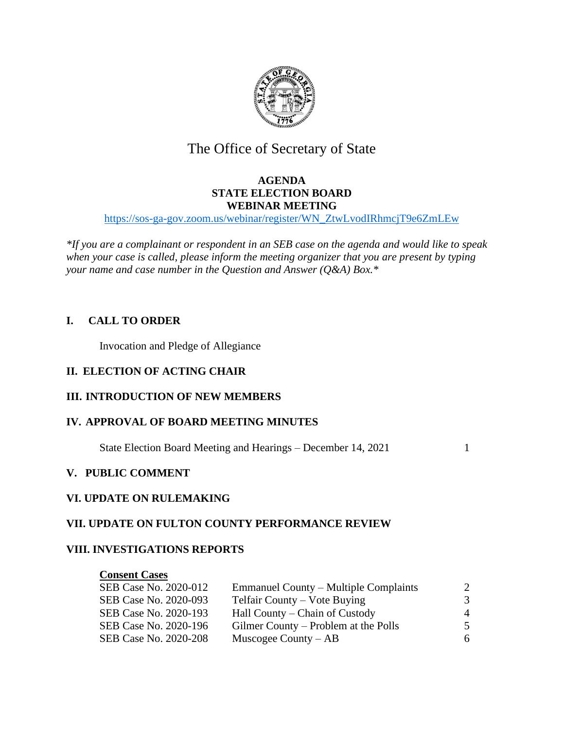

# The Office of Secretary of State

### **AGENDA STATE ELECTION BOARD WEBINAR MEETING**

[https://sos-ga-gov.zoom.us/webinar/register/WN\\_ZtwLvodIRhmcjT9e6ZmLEw](https://sos-ga-gov.zoom.us/webinar/register/WN_ZtwLvodIRhmcjT9e6ZmLEw)

*\*If you are a complainant or respondent in an SEB case on the agenda and would like to speak when your case is called, please inform the meeting organizer that you are present by typing your name and case number in the Question and Answer (Q&A) Box.\**

### **I. CALL TO ORDER**

Invocation and Pledge of Allegiance

### **II. ELECTION OF ACTING CHAIR**

### **III. INTRODUCTION OF NEW MEMBERS**

#### **IV. APPROVAL OF BOARD MEETING MINUTES**

State Election Board Meeting and Hearings – December 14, 2021 1

#### **V. PUBLIC COMMENT**

#### **VI. UPDATE ON RULEMAKING**

#### **VII. UPDATE ON FULTON COUNTY PERFORMANCE REVIEW**

#### **VIII. INVESTIGATIONS REPORTS**

#### **Consent Cases**

| SEB Case No. 2020-012 | <b>Emmanuel County – Multiple Complaints</b> |                |
|-----------------------|----------------------------------------------|----------------|
| SEB Case No. 2020-093 | Telfair County – Vote Buying                 | 3              |
| SEB Case No. 2020-193 | Hall County – Chain of Custody               | $\overline{4}$ |
| SEB Case No. 2020-196 | Gilmer County – Problem at the Polls         | 5              |
| SEB Case No. 2020-208 | Muscogee County $-AB$                        | 6              |